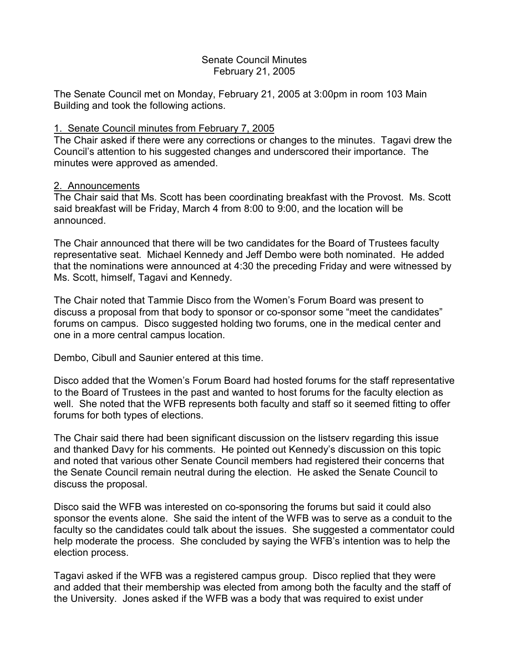# Senate Council Minutes February 21, 2005

The Senate Council met on Monday, February 21, 2005 at 3:00pm in room 103 Main Building and took the following actions.

### 1. Senate Council minutes from February 7, 2005

The Chair asked if there were any corrections or changes to the minutes. Tagavi drew the Council's attention to his suggested changes and underscored their importance. The minutes were approved as amended.

#### 2. Announcements

The Chair said that Ms. Scott has been coordinating breakfast with the Provost. Ms. Scott said breakfast will be Friday, March 4 from 8:00 to 9:00, and the location will be announced.

The Chair announced that there will be two candidates for the Board of Trustees faculty representative seat. Michael Kennedy and Jeff Dembo were both nominated. He added that the nominations were announced at 4:30 the preceding Friday and were witnessed by Ms. Scott, himself, Tagavi and Kennedy.

The Chair noted that Tammie Disco from the Women's Forum Board was present to discuss a proposal from that body to sponsor or co-sponsor some "meet the candidates" forums on campus. Disco suggested holding two forums, one in the medical center and one in a more central campus location.

Dembo, Cibull and Saunier entered at this time.

Disco added that the Women's Forum Board had hosted forums for the staff representative to the Board of Trustees in the past and wanted to host forums for the faculty election as well. She noted that the WFB represents both faculty and staff so it seemed fitting to offer forums for both types of elections.

The Chair said there had been significant discussion on the listserv regarding this issue and thanked Davy for his comments. He pointed out Kennedy's discussion on this topic and noted that various other Senate Council members had registered their concerns that the Senate Council remain neutral during the election. He asked the Senate Council to discuss the proposal.

Disco said the WFB was interested on co-sponsoring the forums but said it could also sponsor the events alone. She said the intent of the WFB was to serve as a conduit to the faculty so the candidates could talk about the issues. She suggested a commentator could help moderate the process. She concluded by saying the WFB's intention was to help the election process.

Tagavi asked if the WFB was a registered campus group. Disco replied that they were and added that their membership was elected from among both the faculty and the staff of the University. Jones asked if the WFB was a body that was required to exist under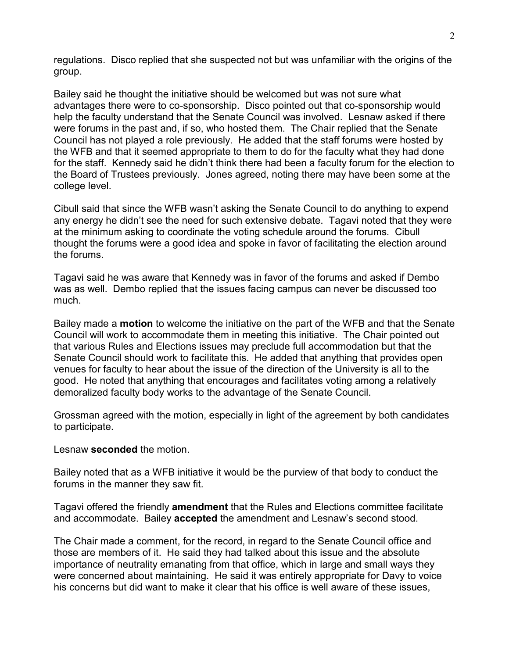regulations. Disco replied that she suspected not but was unfamiliar with the origins of the group.

Bailey said he thought the initiative should be welcomed but was not sure what advantages there were to co-sponsorship. Disco pointed out that co-sponsorship would help the faculty understand that the Senate Council was involved. Lesnaw asked if there were forums in the past and, if so, who hosted them. The Chair replied that the Senate Council has not played a role previously. He added that the staff forums were hosted by the WFB and that it seemed appropriate to them to do for the faculty what they had done for the staff. Kennedy said he didn't think there had been a faculty forum for the election to the Board of Trustees previously. Jones agreed, noting there may have been some at the college level.

Cibull said that since the WFB wasn't asking the Senate Council to do anything to expend any energy he didn't see the need for such extensive debate. Tagavi noted that they were at the minimum asking to coordinate the voting schedule around the forums. Cibull thought the forums were a good idea and spoke in favor of facilitating the election around the forums.

Tagavi said he was aware that Kennedy was in favor of the forums and asked if Dembo was as well. Dembo replied that the issues facing campus can never be discussed too much.

Bailey made a **motion** to welcome the initiative on the part of the WFB and that the Senate Council will work to accommodate them in meeting this initiative. The Chair pointed out that various Rules and Elections issues may preclude full accommodation but that the Senate Council should work to facilitate this. He added that anything that provides open venues for faculty to hear about the issue of the direction of the University is all to the good. He noted that anything that encourages and facilitates voting among a relatively demoralized faculty body works to the advantage of the Senate Council.

Grossman agreed with the motion, especially in light of the agreement by both candidates to participate.

Lesnaw **seconded** the motion.

Bailey noted that as a WFB initiative it would be the purview of that body to conduct the forums in the manner they saw fit.

Tagavi offered the friendly **amendment** that the Rules and Elections committee facilitate and accommodate. Bailey **accepted** the amendment and Lesnaw's second stood.

The Chair made a comment, for the record, in regard to the Senate Council office and those are members of it. He said they had talked about this issue and the absolute importance of neutrality emanating from that office, which in large and small ways they were concerned about maintaining. He said it was entirely appropriate for Davy to voice his concerns but did want to make it clear that his office is well aware of these issues,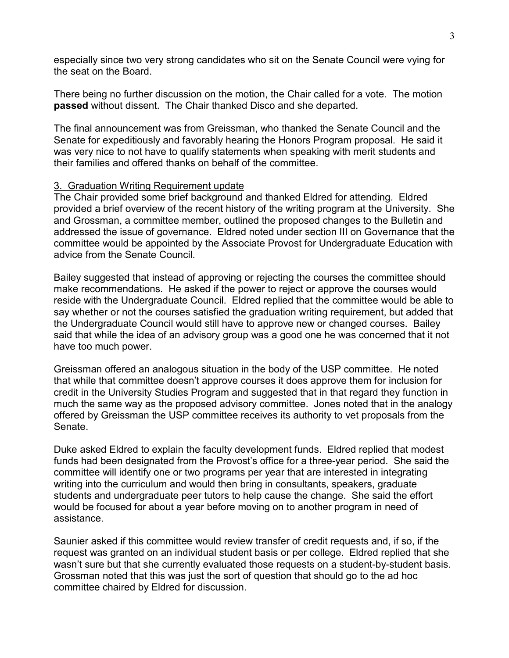especially since two very strong candidates who sit on the Senate Council were vying for the seat on the Board.

There being no further discussion on the motion, the Chair called for a vote. The motion **passed** without dissent. The Chair thanked Disco and she departed.

The final announcement was from Greissman, who thanked the Senate Council and the Senate for expeditiously and favorably hearing the Honors Program proposal. He said it was very nice to not have to qualify statements when speaking with merit students and their families and offered thanks on behalf of the committee.

#### 3. Graduation Writing Requirement update

The Chair provided some brief background and thanked Eldred for attending. Eldred provided a brief overview of the recent history of the writing program at the University. She and Grossman, a committee member, outlined the proposed changes to the Bulletin and addressed the issue of governance. Eldred noted under section III on Governance that the committee would be appointed by the Associate Provost for Undergraduate Education with advice from the Senate Council.

Bailey suggested that instead of approving or rejecting the courses the committee should make recommendations. He asked if the power to reject or approve the courses would reside with the Undergraduate Council. Eldred replied that the committee would be able to say whether or not the courses satisfied the graduation writing requirement, but added that the Undergraduate Council would still have to approve new or changed courses. Bailey said that while the idea of an advisory group was a good one he was concerned that it not have too much power.

Greissman offered an analogous situation in the body of the USP committee. He noted that while that committee doesn't approve courses it does approve them for inclusion for credit in the University Studies Program and suggested that in that regard they function in much the same way as the proposed advisory committee. Jones noted that in the analogy offered by Greissman the USP committee receives its authority to vet proposals from the Senate.

Duke asked Eldred to explain the faculty development funds. Eldred replied that modest funds had been designated from the Provost's office for a three-year period. She said the committee will identify one or two programs per year that are interested in integrating writing into the curriculum and would then bring in consultants, speakers, graduate students and undergraduate peer tutors to help cause the change. She said the effort would be focused for about a year before moving on to another program in need of assistance.

Saunier asked if this committee would review transfer of credit requests and, if so, if the request was granted on an individual student basis or per college. Eldred replied that she wasn't sure but that she currently evaluated those requests on a student-by-student basis. Grossman noted that this was just the sort of question that should go to the ad hoc committee chaired by Eldred for discussion.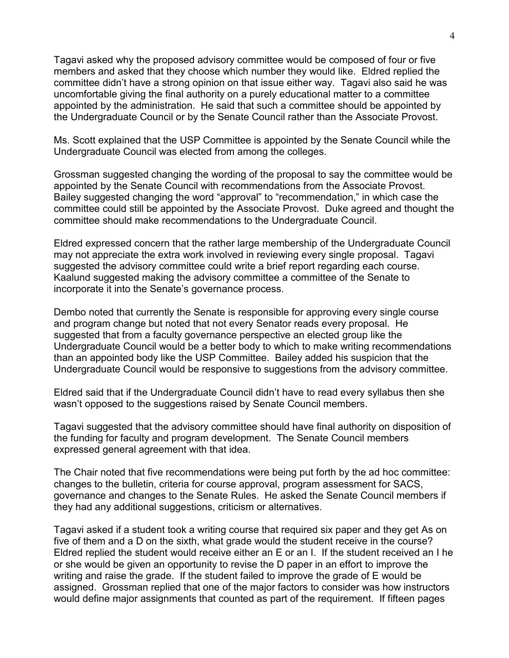Tagavi asked why the proposed advisory committee would be composed of four or five members and asked that they choose which number they would like. Eldred replied the committee didn't have a strong opinion on that issue either way. Tagavi also said he was uncomfortable giving the final authority on a purely educational matter to a committee appointed by the administration. He said that such a committee should be appointed by the Undergraduate Council or by the Senate Council rather than the Associate Provost.

Ms. Scott explained that the USP Committee is appointed by the Senate Council while the Undergraduate Council was elected from among the colleges.

Grossman suggested changing the wording of the proposal to say the committee would be appointed by the Senate Council with recommendations from the Associate Provost. Bailey suggested changing the word "approval" to "recommendation," in which case the committee could still be appointed by the Associate Provost. Duke agreed and thought the committee should make recommendations to the Undergraduate Council.

Eldred expressed concern that the rather large membership of the Undergraduate Council may not appreciate the extra work involved in reviewing every single proposal. Tagavi suggested the advisory committee could write a brief report regarding each course. Kaalund suggested making the advisory committee a committee of the Senate to incorporate it into the Senate's governance process.

Dembo noted that currently the Senate is responsible for approving every single course and program change but noted that not every Senator reads every proposal. He suggested that from a faculty governance perspective an elected group like the Undergraduate Council would be a better body to which to make writing recommendations than an appointed body like the USP Committee. Bailey added his suspicion that the Undergraduate Council would be responsive to suggestions from the advisory committee.

Eldred said that if the Undergraduate Council didn't have to read every syllabus then she wasn't opposed to the suggestions raised by Senate Council members.

Tagavi suggested that the advisory committee should have final authority on disposition of the funding for faculty and program development. The Senate Council members expressed general agreement with that idea.

The Chair noted that five recommendations were being put forth by the ad hoc committee: changes to the bulletin, criteria for course approval, program assessment for SACS, governance and changes to the Senate Rules. He asked the Senate Council members if they had any additional suggestions, criticism or alternatives.

Tagavi asked if a student took a writing course that required six paper and they get As on five of them and a D on the sixth, what grade would the student receive in the course? Eldred replied the student would receive either an E or an I. If the student received an I he or she would be given an opportunity to revise the D paper in an effort to improve the writing and raise the grade. If the student failed to improve the grade of E would be assigned. Grossman replied that one of the major factors to consider was how instructors would define major assignments that counted as part of the requirement. If fifteen pages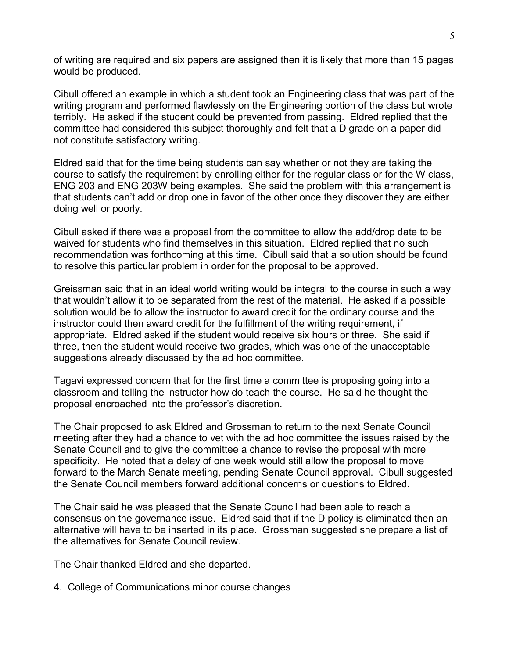of writing are required and six papers are assigned then it is likely that more than 15 pages would be produced.

Cibull offered an example in which a student took an Engineering class that was part of the writing program and performed flawlessly on the Engineering portion of the class but wrote terribly. He asked if the student could be prevented from passing. Eldred replied that the committee had considered this subject thoroughly and felt that a D grade on a paper did not constitute satisfactory writing.

Eldred said that for the time being students can say whether or not they are taking the course to satisfy the requirement by enrolling either for the regular class or for the W class, ENG 203 and ENG 203W being examples. She said the problem with this arrangement is that students can't add or drop one in favor of the other once they discover they are either doing well or poorly.

Cibull asked if there was a proposal from the committee to allow the add/drop date to be waived for students who find themselves in this situation. Eldred replied that no such recommendation was forthcoming at this time. Cibull said that a solution should be found to resolve this particular problem in order for the proposal to be approved.

Greissman said that in an ideal world writing would be integral to the course in such a way that wouldn't allow it to be separated from the rest of the material. He asked if a possible solution would be to allow the instructor to award credit for the ordinary course and the instructor could then award credit for the fulfillment of the writing requirement, if appropriate. Eldred asked if the student would receive six hours or three. She said if three, then the student would receive two grades, which was one of the unacceptable suggestions already discussed by the ad hoc committee.

Tagavi expressed concern that for the first time a committee is proposing going into a classroom and telling the instructor how do teach the course. He said he thought the proposal encroached into the professor's discretion.

The Chair proposed to ask Eldred and Grossman to return to the next Senate Council meeting after they had a chance to vet with the ad hoc committee the issues raised by the Senate Council and to give the committee a chance to revise the proposal with more specificity. He noted that a delay of one week would still allow the proposal to move forward to the March Senate meeting, pending Senate Council approval. Cibull suggested the Senate Council members forward additional concerns or questions to Eldred.

The Chair said he was pleased that the Senate Council had been able to reach a consensus on the governance issue. Eldred said that if the D policy is eliminated then an alternative will have to be inserted in its place. Grossman suggested she prepare a list of the alternatives for Senate Council review.

The Chair thanked Eldred and she departed.

#### 4. College of Communications minor course changes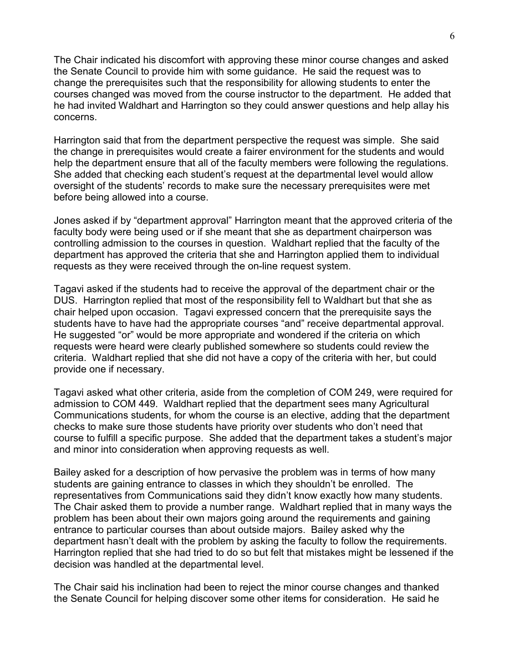The Chair indicated his discomfort with approving these minor course changes and asked the Senate Council to provide him with some guidance. He said the request was to change the prerequisites such that the responsibility for allowing students to enter the courses changed was moved from the course instructor to the department. He added that he had invited Waldhart and Harrington so they could answer questions and help allay his concerns.

Harrington said that from the department perspective the request was simple. She said the change in prerequisites would create a fairer environment for the students and would help the department ensure that all of the faculty members were following the regulations. She added that checking each student's request at the departmental level would allow oversight of the students' records to make sure the necessary prerequisites were met before being allowed into a course.

Jones asked if by "department approval" Harrington meant that the approved criteria of the faculty body were being used or if she meant that she as department chairperson was controlling admission to the courses in question. Waldhart replied that the faculty of the department has approved the criteria that she and Harrington applied them to individual requests as they were received through the on-line request system.

Tagavi asked if the students had to receive the approval of the department chair or the DUS. Harrington replied that most of the responsibility fell to Waldhart but that she as chair helped upon occasion. Tagavi expressed concern that the prerequisite says the students have to have had the appropriate courses "and" receive departmental approval. He suggested "or" would be more appropriate and wondered if the criteria on which requests were heard were clearly published somewhere so students could review the criteria. Waldhart replied that she did not have a copy of the criteria with her, but could provide one if necessary.

Tagavi asked what other criteria, aside from the completion of COM 249, were required for admission to COM 449. Waldhart replied that the department sees many Agricultural Communications students, for whom the course is an elective, adding that the department checks to make sure those students have priority over students who don't need that course to fulfill a specific purpose. She added that the department takes a student's major and minor into consideration when approving requests as well.

Bailey asked for a description of how pervasive the problem was in terms of how many students are gaining entrance to classes in which they shouldn't be enrolled. The representatives from Communications said they didn't know exactly how many students. The Chair asked them to provide a number range. Waldhart replied that in many ways the problem has been about their own majors going around the requirements and gaining entrance to particular courses than about outside majors. Bailey asked why the department hasn't dealt with the problem by asking the faculty to follow the requirements. Harrington replied that she had tried to do so but felt that mistakes might be lessened if the decision was handled at the departmental level.

The Chair said his inclination had been to reject the minor course changes and thanked the Senate Council for helping discover some other items for consideration. He said he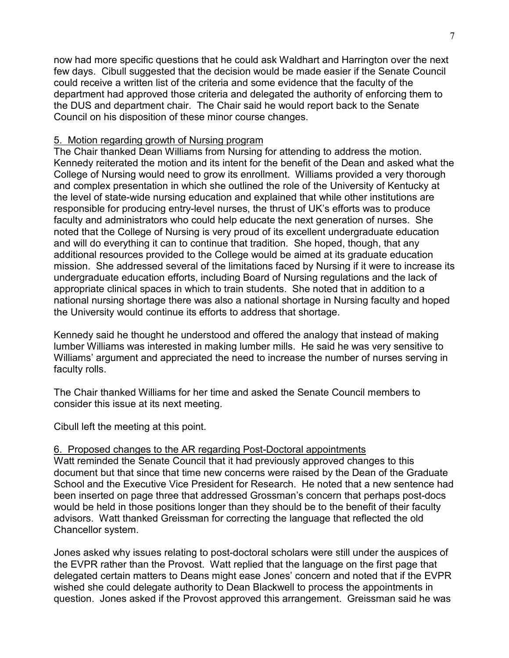now had more specific questions that he could ask Waldhart and Harrington over the next few days. Cibull suggested that the decision would be made easier if the Senate Council could receive a written list of the criteria and some evidence that the faculty of the department had approved those criteria and delegated the authority of enforcing them to the DUS and department chair. The Chair said he would report back to the Senate Council on his disposition of these minor course changes.

# 5. Motion regarding growth of Nursing program

The Chair thanked Dean Williams from Nursing for attending to address the motion. Kennedy reiterated the motion and its intent for the benefit of the Dean and asked what the College of Nursing would need to grow its enrollment. Williams provided a very thorough and complex presentation in which she outlined the role of the University of Kentucky at the level of state-wide nursing education and explained that while other institutions are responsible for producing entry-level nurses, the thrust of UK's efforts was to produce faculty and administrators who could help educate the next generation of nurses. She noted that the College of Nursing is very proud of its excellent undergraduate education and will do everything it can to continue that tradition. She hoped, though, that any additional resources provided to the College would be aimed at its graduate education mission. She addressed several of the limitations faced by Nursing if it were to increase its undergraduate education efforts, including Board of Nursing regulations and the lack of appropriate clinical spaces in which to train students. She noted that in addition to a national nursing shortage there was also a national shortage in Nursing faculty and hoped the University would continue its efforts to address that shortage.

Kennedy said he thought he understood and offered the analogy that instead of making lumber Williams was interested in making lumber mills. He said he was very sensitive to Williams' argument and appreciated the need to increase the number of nurses serving in faculty rolls.

The Chair thanked Williams for her time and asked the Senate Council members to consider this issue at its next meeting.

Cibull left the meeting at this point.

# 6. Proposed changes to the AR regarding Post-Doctoral appointments

Watt reminded the Senate Council that it had previously approved changes to this document but that since that time new concerns were raised by the Dean of the Graduate School and the Executive Vice President for Research. He noted that a new sentence had been inserted on page three that addressed Grossman's concern that perhaps post-docs would be held in those positions longer than they should be to the benefit of their faculty advisors. Watt thanked Greissman for correcting the language that reflected the old Chancellor system.

Jones asked why issues relating to post-doctoral scholars were still under the auspices of the EVPR rather than the Provost. Watt replied that the language on the first page that delegated certain matters to Deans might ease Jones' concern and noted that if the EVPR wished she could delegate authority to Dean Blackwell to process the appointments in question. Jones asked if the Provost approved this arrangement. Greissman said he was